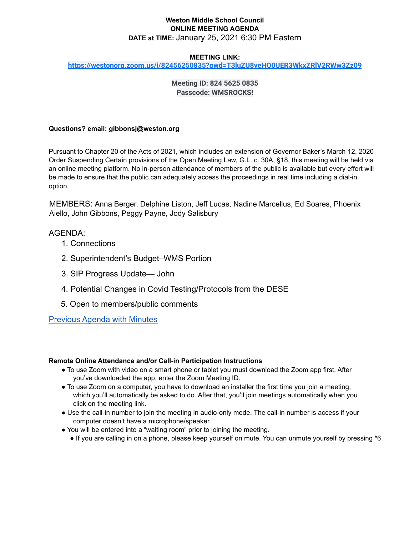## **Weston Middle School Council ONLINE MEETING AGENDA DATE at TIME:** January 25, 2021 6:30 PM Eastern

#### **MEETING LINK:**

**<https://westonorg.zoom.us/j/82456250835?pwd=T3luZU8yeHQ0UER3WkxZRlV2RWw3Zz09>**

# **Meeting ID: 824 5625 0835 Passcode: WMSROCKS!**

### **Questions? email: gibbonsj@weston.org**

Pursuant to Chapter 20 of the Acts of 2021, which includes an extension of Governor Baker's March 12, 2020 Order Suspending Certain provisions of the Open Meeting Law, G.L. c. 30A, §18, this meeting will be held via an online meeting platform. No in-person attendance of members of the public is available but every effort will be made to ensure that the public can adequately access the proceedings in real time including a dial-in option.

MEMBERS: Anna Berger, Delphine Liston, Jeff Lucas, Nadine Marcellus, Ed Soares, Phoenix Aiello, John Gibbons, Peggy Payne, Jody Salisbury

# AGENDA:

- 1. Connections
- 2. Superintendent's Budget–WMS Portion
- 3. SIP Progress Update— John
- 4. Potential Changes in Covid Testing/Protocols from the DESE
- 5. Open to members/public comments

[Previous Agenda with Minutes](https://docs.google.com/document/d/1ZUUxwgxXEYSFIEOTLAZ5B8FzLc_g_xyrORRZuQs1DOE/edit?usp=sharing)

#### **Remote Online Attendance and/or Call-in Participation Instructions**

- To use Zoom with video on a smart phone or tablet you must download the Zoom app first. After you've downloaded the app, enter the Zoom Meeting ID.
- To use Zoom on a computer, you have to download an installer the first time you join a meeting, which you'll automatically be asked to do. After that, you'll join meetings automatically when you click on the meeting link.
- Use the call-in number to join the meeting in audio-only mode. The call-in number is access if your computer doesn't have a microphone/speaker.
- You will be entered into a "waiting room" prior to joining the meeting.
	- If you are calling in on a phone, please keep yourself on mute. You can unmute yourself by pressing \*6